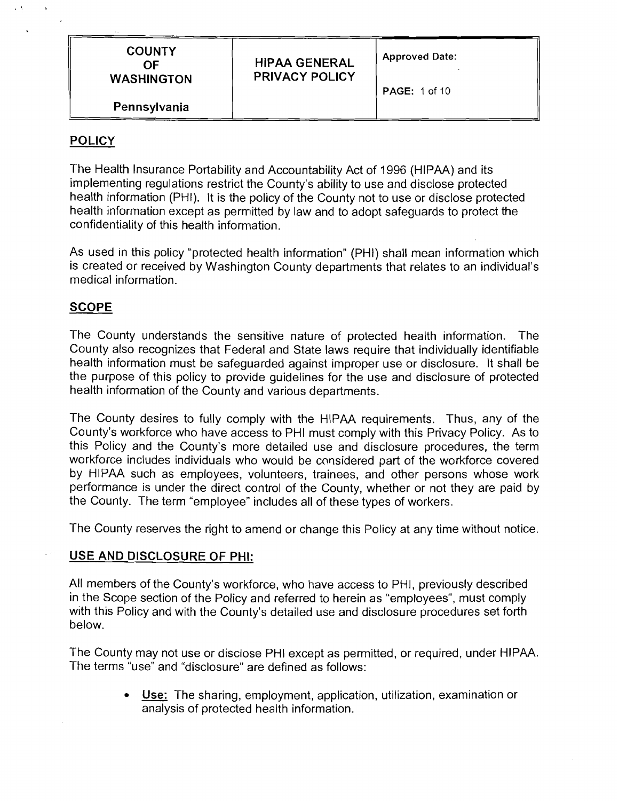| <b>COUNTY</b><br>OF. | <b>HIPAA GENERAL</b>  | <b>Approved Date:</b> |
|----------------------|-----------------------|-----------------------|
| <b>WASHINGTON</b>    | <b>PRIVACY POLICY</b> | <b>PAGE: 1 of 10</b>  |
| Pennsylvania         |                       |                       |

## **POLICY**

The Health Insurance Portability and Accountability Act of 1996 (HIPAA) and its implementing regulations restrict the County's ability to use and disclose protected health information (PHI). It is the policy of the County not to use or disclose protected health information except as permitted by law and to adopt safeguards to protect the confidentiality of this health information.

As used in this policy "protected health information" (PHI) shall mean information which is created or received by Washington County departments that relates to an individual's medical information.

#### **SCOPE**

The County understands the sensitive nature of protected health information. The County also recognizes that Federal and State laws require that individually identifiable health information must be safeguarded against improper use or disclosure. It shall be the purpose of this policy to provide guidelines for the use and disclosure of protected health information of the County and various departments.

The County desires to fully comply with the HIPAA requirements. Thus, any of the County's workforce who have access to PHI must comply with this Privacy Policy. As to this Policy and the County's more detailed use and disclosure procedures, the term workforce includes individuals who would be considered part of the workforce covered by HIPAA such as employees, volunteers, trainees, and other persons whose work performance is under the direct control of the County, whether or not they are paid by the County. The term "employee" includes all of these types of workers.

The County reserves the right to amend or change this Policy at any time without notice.

#### USE AND DISCLOSURE OF PHI:

All members of the County's workforce, who have access to PHI, previously described in the Scope section of the Policy and referred to herein as "employees", must comply with this Policy and with the County's detailed use and disclosure procedures set forth below.

The County may not use or disclose PHI except as permitted, or required, under HIPAA. The terms "use" and "disclosure" are defined as follows: iay not use or disclose PHI except as permitted, or required, under HIP/<br>e" and "disclosure" are defined as follows:<br><u>Use:</u> The sharing, employment, application, utilization, examination or<br>analysis of protected health inf

analysis of protected health information.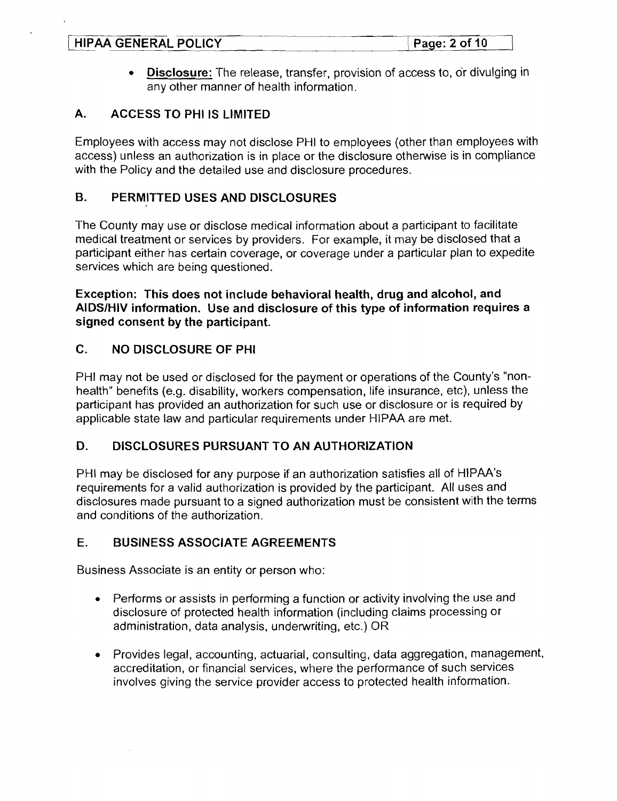| <b>HIPAA GENERAL POLICY</b> | Page: $2$ of $10$ |
|-----------------------------|-------------------|
|                             |                   |
|                             |                   |

**Disclosure:** The release, transfer, provision of access to, or divulging in  $\bullet$  . any other manner of health information.

## **A. ACCESS TO PHI IS I-IMITED**

Employees with access may not disclose PHI to employees (other than employees with access) unless an authorization is in place or the disclosure otherwise is in compliance with the Policy and the detailed use and disclosure procedures.

### **B. PERMITTED USES AND DISCLOSURES**

The County may use or disclose medical information about a participant to facilitate medical treatment or services by providers. For example, it may be disclosed that a participant either has certain coverage, or coverage under a particular plan to expedite services which are being questioned.

**Exception: This does not include behavioral health, drug and alcohol, and AIDSIHIV information. Use and disclosure of this type of information requires a signed consent by the participant.** 

## **C. NO DISCLOSURE OF PHI**

PHI may not be used or disclosed for the payment or operations of the County's "nonhealth" benefits (e.g. disability, workers compensation, life insurance, etc), unless the participant has provided an authorization for such use or disclosure or is required by applicable state law and particular requirements under HIPAA are met.

### **D. DISCLOSURES PURSUANT TO AN AUTHORIZATION**

PHI may be disclosed for any purpose if an authorization satisfies all of HIPAA's requirements for a valid authorization is provided by the participant. All uses and disclosures made pursuant to a signed authorization must be consistent with the terms and conditions of the authorization.

### **E. BUSINESS ASSOCIATE AGREEMENTS**

Business Associate is an entity or person who:

- Performs or assists in performing a function or activity involving the use and  $\bullet$ disclosure of protected health information (including claims processing or administration, data analysis, underwriting, etc.) OR
- Provides legal, accounting, actuarial, consulting, data aggregation, management,  $\bullet$ accreditation, or financial services, where the performance of such services involves giving the service provider access to protected health information.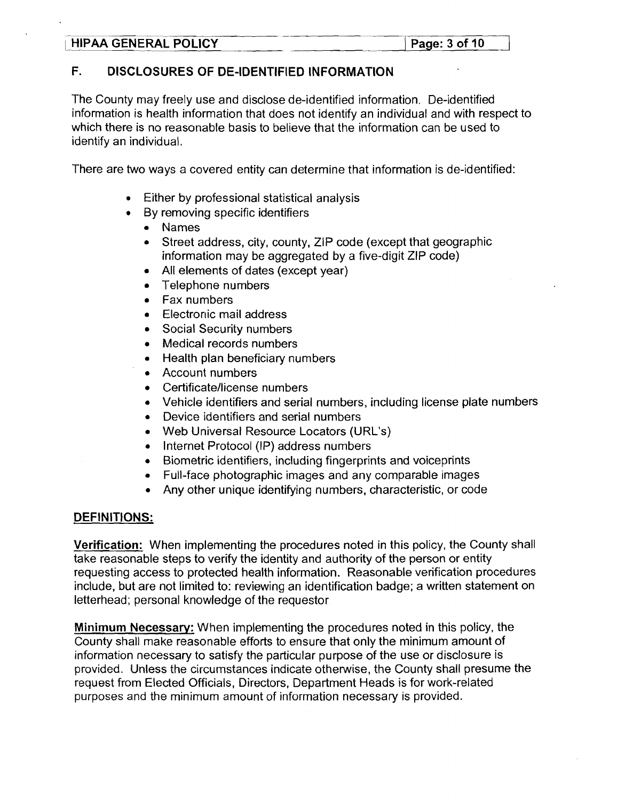#### **LABA GENERAL POLICY** 1 **Page: 3 of 10**

# F. DISCLOSURES OF DE-IDENTIFIED INFORMATION

The County may freely use and disclose de-identified information. De-identified information is health information that does not identify an individual and with respect to which there is no reasonable basis to believe that the information can be used to identify an individual.

There are two ways a covered entity can determine that information is de-identified:

- Either by professional statistical analysis
- By removing specific identifiers
	- Names  $\bullet$
	- Street address, city, county, ZIP code (except that geographic  $\bullet$ information may be aggregated by a five-digit ZIP code)
	- All elements of dates (except year)  $\bullet$
	- Telephone numbers  $\bullet$
	- Fax numbers  $\bullet$
	- Electronic mail address  $\bullet$
	- Social Security numbers  $\bullet$
	- Medical records numbers  $\bullet$
	- Health plan beneficiary numbers  $\bullet$
	- Account numbers  $\bullet$
	- Certificate/license numbers
	- Vehicle identifiers and serial numbers, including license plate numbers  $\bullet$
	- Device identifiers and serial numbers  $\bullet$
	- Web Universal Resource Locators (URL's)  $\bullet$
	- Internet Protocol (IP) address numbers  $\bullet$
	- Biometric identifiers, including fingerprints and voiceprints  $\bullet$
	- Full-face photographic images and any comparable images  $\bullet$
	- Any other unique identifying numbers, characteristic, or code

# DEFINITIONS:

Verification: When implementing the procedures noted in this policy, the County shall take reasonable steps to verify the identity and authority of the person or entity requesting access to protected health information. Reasonable verification procedures include, but are not limited to: reviewing an identification badge; a written statement on letterhead; personal knowledge of the requestor

**Minimum** Necessary: When implementing the procedures noted in this policy, the County shall make reasonable efforts to ensure that only the minimum amount of information necessary to satisfy the particular purpose of the use or disclosure is provided. Unless the circumstances indicate otherwise, the County shall presume the request from Elected Officials, Directors, Department Heads is for work-related purposes and the minimum amount of information necessary is provided.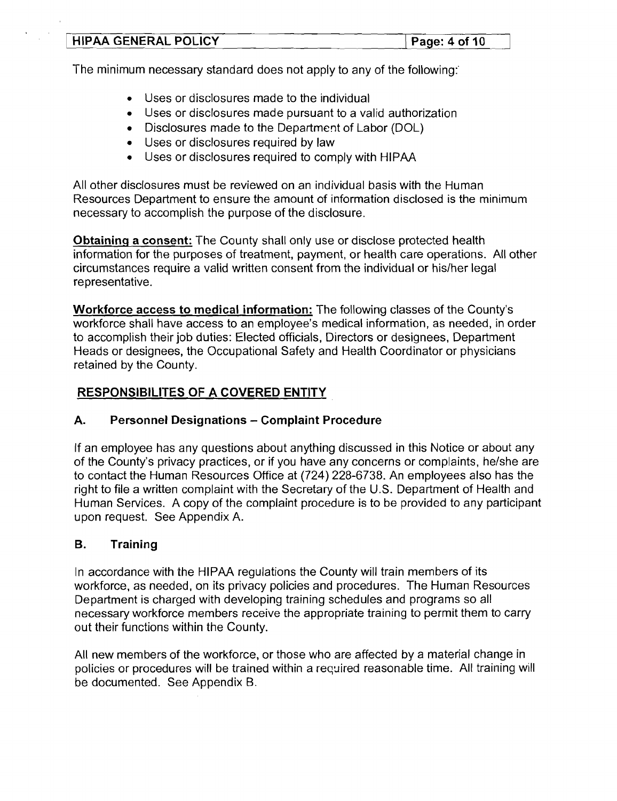| HIPAA GENERAL POLICY | Page: $4$ of 10 |
|----------------------|-----------------|
|                      |                 |

The minimum necessary standard does not apply to any of the following:'

- Uses or disclosures made to the individual
- Uses or disclosures made pursuant to a valid authorization
- Disclosures made to the Department of Labor (DOL)
- Uses or disclosures required by law
- Uses or disclosures required to comply with HIPAA  $\bullet$

All other disclosures must be reviewed on an individual basis with the Human Resources Department to ensure the amount of information disclosed is the minimum necessary to accomplish the purpose of the disclosure.

**Obtaining a consent:** The County shall only use or disclose protected health information for the purposes of treatment, payment, or health care operations. All other circumstances require a valid written consent from the individual or hislher legal representative.

**Workforce access to medical information:** The following classes of the County's workforce shall have access to an employee's medical information, as needed, in order to accomplish their job duties: Elected officials, Directors or designees, Department Heads or designees, the Occupational Safety and Health Coordinator or physicians retained by the County.

# **RESPONSIBILI'TES OF A COVERED ENTITY**

# **A. Personnel Designations** - **Complaint Procedure**

If an employee has any questions about anything discussed in this Notice or about any of the County's privacy practices, or if you have any concerns or complaints, he/she are to contact the Human Resources Office at (724) 228-6738. An employees also has the right to file a written complaint with the Secretary of the U.S. Department of Health and Human Services. A copy of the complaint procedure is to be provided to any participant upon request. See Appendix A.

### **B. Training**

 $\mathcal{L}_{\mathcal{A}}$ 

In accordance with the HIPAA regulations the County will train members of its workforce, as needed, on its privacy policies and procedures. The Human Resources Department is charged with developing training schedules and programs so all necessary workforce members receive the appropriate training to permit them to carry out their functions within the County.

All new members of the workforce, or those who are affected by a material change in policies or procedures will be trained within a required reasonable time. All training will be documented. See Appendix **6.**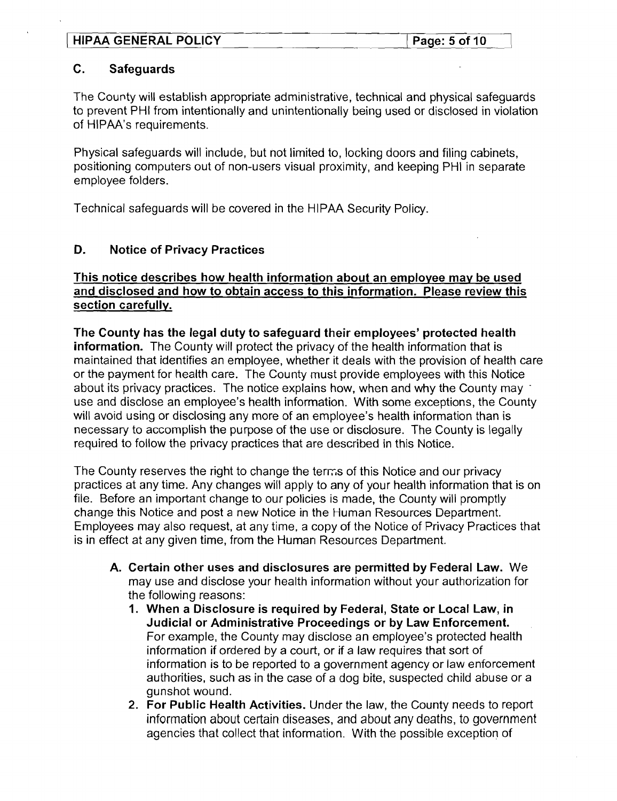## **C. Safeguards**

The County will establish appropriate administrative, technical and physical safeguards to prevent PHI from intentionally and unintentionally being used or disclosed in violation of HIPAA's requirements.

Physical safeguards will include, but not limited to, locking doors and filing cabinets, positioning computers out of non-users visual proximity, and keeping PHI in separate employee folders.

Technical safeguards will be covered in the HIPAA Security Policy.

# **D. Notice of Privacy Practices**

### **This notice describes how health information about an employee mav be used and disclosed and how to obtain access to this information. Please review this section carefullv.**

**The County has the legal duty to safeguard their employees' protected health information.** The County will protect the privacy of the health information that is maintained that identifies an employee, whether it deals with the provision of health care or the payment for health care. The County must provide employees with this Notice about its privacy practices. The notice explains how, when and why the County may ' use and disclose an employee's health information. With some exceptions, the County will avoid using or disclosing any more of an employee's health information than is necessary to accomplish the purpose of the use or disclosure. The County is legally required to follow the privacy practices that are described in this Notice.

The County reserves the right to change the terms of this Notice and our privacy practices at any time. Any changes will apply to any of your health information that is on file. Before an important change to our policies is made, the County will promptly change this Notice and post a new Notice in the Human Resources Department. Employees may also request, at any time, a copy of the Notice of Privacy Practices that is in effect at any given time, from the Human Resources Department.

- **A. Certain other uses and disclosures are permitted by Federal Law.** We may use and disclose your health information without your authorization for the following reasons:
	- **1. When a Disclosure is required by Federal, State or Local Law, in Judicial or Administrative Proceedings or by Law Enforcement.**  For example, the County may disclose an employee's protected health information if ordered by a court, or if a law requires that sort of information is to be reported to a government agency or law enforcement authorities, such as in the case of a dog bite, suspected child abuse or a gunshot wound.
	- **2. For Public Health Activities.** Under the law, the County needs to report information about certain diseases, and about any deaths, to government agencies that collect that information. With the possible exception of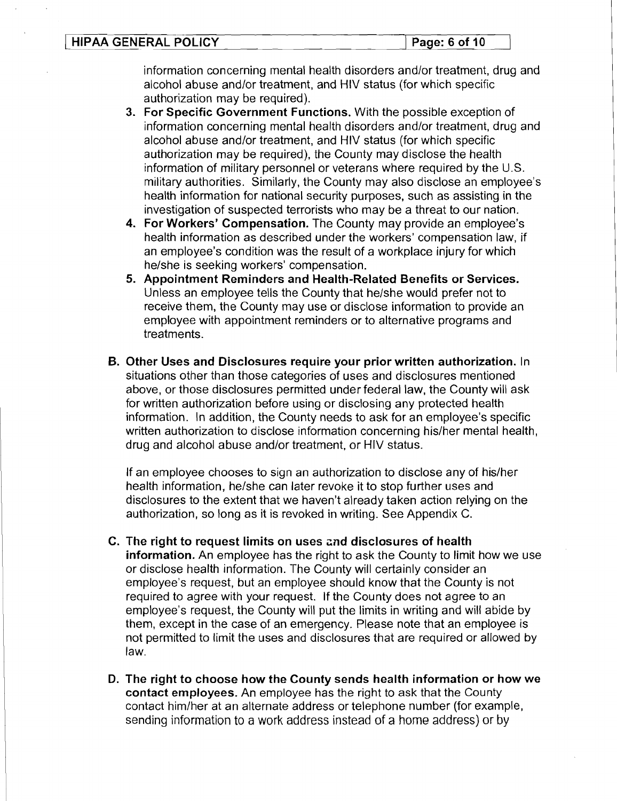| HIPAA GENERAL POLICY | Page: 6 of 10 |
|----------------------|---------------|
|                      |               |

information concerning mental health disorders and/or treatment, drug and alcohol abuse and/or treatment, and HIV status (for which specific authorization may be required).

- **3. For Specific Government Functions.** With the possible exception of information concerning mental health disorders and/or treatment, drug and alcohol abuse and/or treatment, and HIV status (for which specific authorization may be required), the County may disclose the health information of military personnel or veterans where required by the U.S. military authorities. Similarly, the County may also disclose an employee's health information for national security purposes, such as assisting in the investigation of suspected terrorists who may be a threat to our nation.
- **4. For Workers' Compensation.** The County may provide an employee's health information as described under the workers' compensation law, if an employee's condition was the result of a workplace injury for which he/she is seeking workers' compensation.
- **5. Appointment Reminders and Health-Related Benefits or Services.**  Unless an employee tells the County that he/she would prefer not to receive them, the County may use or disclose information to provide an employee with appointment reminders or to alternative programs and treatments.
- **B. Other Uses and Disclosures require your prior written authorization.** In situations other than those categories of uses and disclosures mentioned above, or those disclosures permitted under federal law, the County will ask for written authorization before using or disclosing any protected health information. In addition, the County needs to ask for an employee's specific written authorization to disclose information concerning his/her mental health, drug and alcohol abuse and/or treatment, or HIV status.

If an employee chooses to sign an authorization to disclose any of hislher health information, he/she can later revoke it to stop further uses and disclosures to the extent that we haven't already taken action relying on the authorization, so long as it is revoked in writing. See Appendix C.

- **C. The right to request limits on uses and disclosures of health information.** An employee has the right to ask the County to limit how we use or disclose health information. The County will certainly consider an employee's request, but an employee should know that the County is not required to agree with your request. If the County does not agree to an employee's request, the County will put the limits in writing and will abide by them, except in the case of an emergency. Please note that an employee is not permitted to limit the uses and disclosures that are required or allowed by law.
- **D. The right to choose how the County sends health information or how we contact employees.** An employee has the right to ask that the County contact himlher at an alternate address or telephone number (for example, sending information to a work address instead of a home address) or by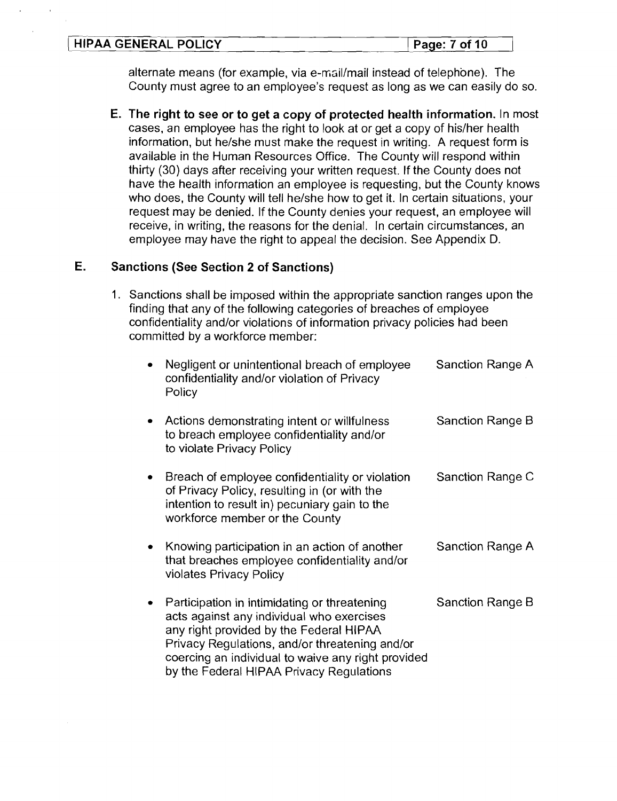#### ( **HlPAA GENERAL POLICY** ( **Page: 7 of 10**

alternate means (for example, via e-mail/mail instead of telephone). The County must agree to an employee's request as long as we can easily do so.

**E. The right to see or to get a copy of protected health information.** In most cases, an employee has the right to look at or get a copy of hislher health information, but he/she must make the request in writing. A request form is available in the Human Resources Office. The County will respond within thirty (30) days after receiving your written request. If the County does not have the health information an employee is requesting, but the County knows who does, the County will tell he/she how to get it. In certain situations, your request may be denied. If the County denies your request, an employee will receive, in writing, the reasons for the denial. In certain circumstances, an employee may have the right to appeal the decision. See Appendix D.

## **E. Sanctions (See Section 2 of Sanctions)**

1. Sanctions shall be imposed within the appropriate sanction ranges upon the finding that any of the following categories of breaches of employee confidentiality and/or violations of information privacy policies had been committed by a workforce member:

| Negligent or unintentional breach of employee<br>confidentiality and/or violation of Privacy<br>Policy                                                                                                                                                                                   | Sanction Range A |
|------------------------------------------------------------------------------------------------------------------------------------------------------------------------------------------------------------------------------------------------------------------------------------------|------------------|
| Actions demonstrating intent or willfulness<br>to breach employee confidentiality and/or<br>to violate Privacy Policy                                                                                                                                                                    | Sanction Range B |
| Breach of employee confidentiality or violation<br>of Privacy Policy, resulting in (or with the<br>intention to result in) pecuniary gain to the<br>workforce member or the County                                                                                                       | Sanction Range C |
| Knowing participation in an action of another<br>that breaches employee confidentiality and/or<br>violates Privacy Policy                                                                                                                                                                | Sanction Range A |
| Participation in intimidating or threatening<br>acts against any individual who exercises<br>any right provided by the Federal HIPAA<br>Privacy Regulations, and/or threatening and/or<br>coercing an individual to waive any right provided<br>by the Federal HIPAA Privacy Regulations | Sanction Range B |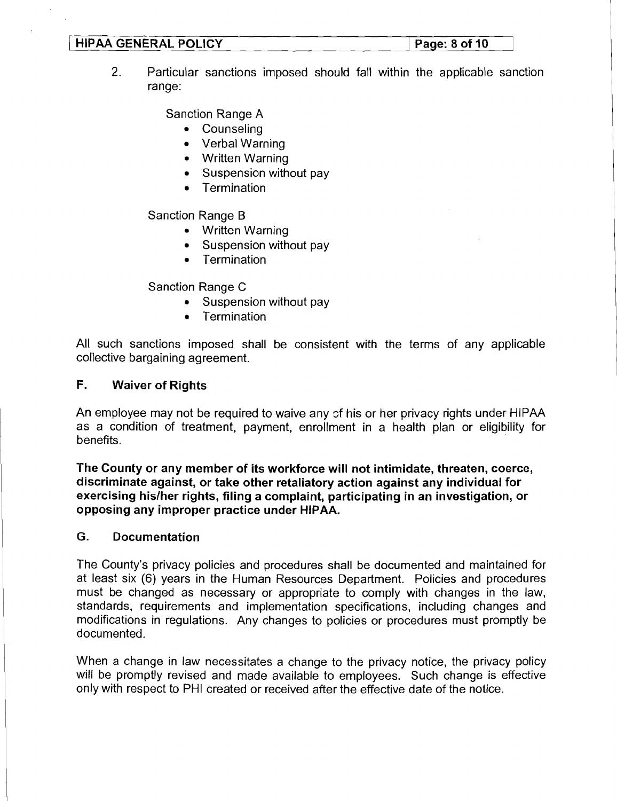#### **HIPAA GENERAL POLICY 12 If All Page: 8 of 10 <b>Page: 8 of 10**

2. Particular sanctions imposed should fall within the applicable sanction range:

Sanction Range A

- Counseling
- Verbal Warning
- Written Warning
- Suspension without pay
- Termination

Sanction Range B

- Written Warning
- Suspension without pay
- **Termination**  $\bullet$

Sanction Range C

- Suspension without pay  $\bullet$
- $\bullet$ **Termination**

All such sanctions imposed shall be consistent with the terms of any applicable collective bargaining agreement.

# **F. Waiver of Rights**

An employee may not be required to waive any sf his or her privacy rights under HlPAA as a condition of treatment, payment, enrollment in a health plan or eligibility for benefits.

**The County or any member of its workforce will not intimidate, threaten, coerce, discriminate against, or take other retaliatory action against any individual for exercising hislher rights, filing a complaint, participating in an investigation, or opposing any improper practice under HIPAA.** 

### **G. Documentation**

The County's privacy policies and procedures shall be documented and maintained for at least six (6) years in the Human Resources Department. Policies and procedures must be changed as necessary or appropriate to comply with changes in the law, standards, requirements and implementation specifications, including changes and modifications in regulations. Any changes to policies or procedures must promptly be documented.

When a change in law necessitates a change to the privacy notice, the privacy policy will be promptly revised and made available to employees. Such change is effective only with respect to PHI created or received after the effective date of the notice.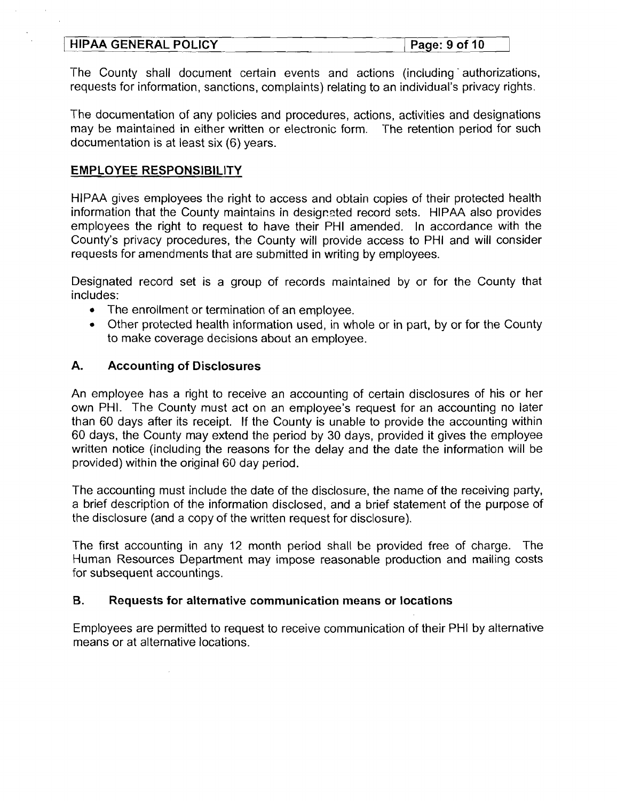#### **HIPAA GENERAL POLICY** Page: 9 of 10

The County shall document certain events and actions (including authorizations, requests for information, sanctions, complaints) relating to an individual's privacy rights.

The documentation of any policies and procedures, actions, activities and designations may be maintained in either written or electronic form. The retention period for such documentation is at least six (6) years.

## **EMPLOYEE RESPONSIBILITY**

HlPAA gives employees the right to access and obtain copies of their protected health information that the County maintains in designzted record sets. HlPAA also provides employees the right to request to have their PHI amended. In accordance with the County's privacy procedures, the County will provide access to PHI and will consider requests for amendments that are submitted in writing by employees.

Designated record set is a group of records maintained by or for the County that includes:

- The enrollment or termination of an employee.
- Other protected health information used, in whole or in part, by or for the County to make coverage decisions about an employee.

## **A. Accounting of Disclosures**

An employee has a right to receive an accounting of certain disclosures of his or her own PHI. The County must act on an employee's request for an accounting no later than 60 days after its receipt. If the County is unable to provide the accounting within 60 days, the County may extend the period by 30 days, provided it gives the employee written notice (including the reasons for the delay and the date the information will be provided) within the original 60 day period.

The accounting must include the date of the disclosure, the name of the receiving party, a brief description of the information disclosed, and a brief statement of the purpose of the disclosure (and a copy of the written request for disclosure).

The first accounting in any 12 month period shall be provided free of charge. The Human Resources Department may impose reasonable production and mailing costs for subsequent accountings.

#### B. **Requests for alternative communication means or locations**

Employees are permitted to request to receive communication of their PHI by alternative means or at alternative locations.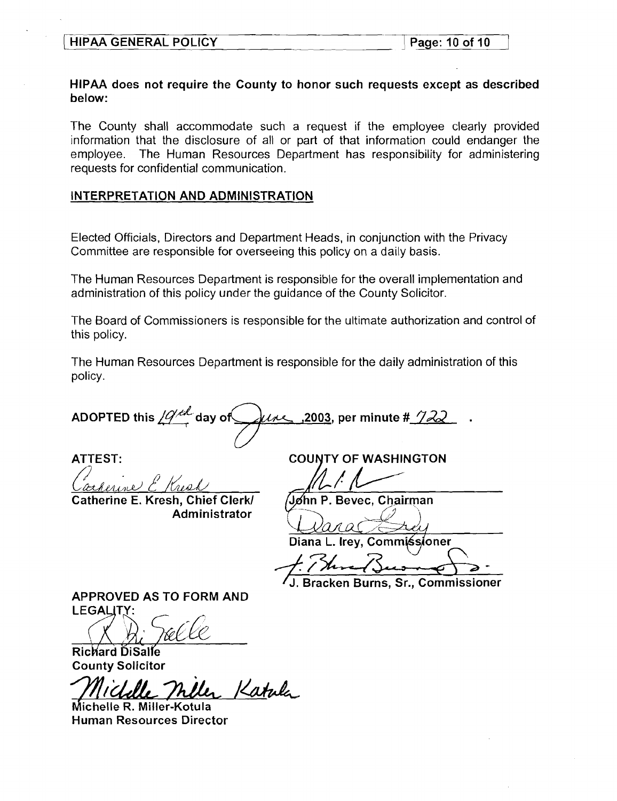#### HlPAA does not require the County to honor such requests except as described below:

The County shall accommodate such a request if the employee clearly provided information that the disclosure of all or part of that information could endanger the employee. The Human Resources Department has responsibility for administering requests for confidential communication.

#### INTERPRETATION AND ADMINISTRATION

Elected Officials, Directors and Department Heads, in conjunction with the Privacy Committee are responsible for overseeing this policy on a daily basis.

The Human Resources Department is responsible for the overall implementation and administration of this policy under the guidance of the County Solicitor.

The Board of Commissioners is responsible for the ultimate authorization and control of this policy.

The Human Resources Department is responsible for the daily administration of this policy.

ADOPTED this  $\sqrt{Q}$ <sup>th</sup> day of  $\mu$ the 3003, per minute # 722

une) c Kresh

Catherine E. Kresh, Chief Clerk/ Administrator

ATTEST: COUNTY OF WASHINGTON

Jøhn P. Bevec. Chairman

Diana L. Irey, Commissioner

Bracken Burns, Sr., Commissioner

APPROVED AS TO FORM AND LEGALITY:

Richard DiSalle County Solicitor

Katule

Michelle R. Miller-Kotula Human Resources Director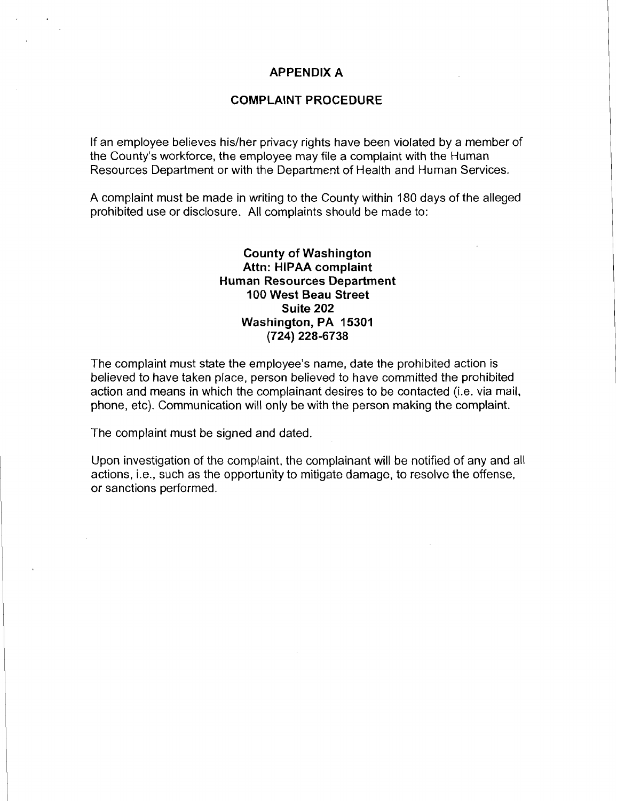#### **APPENDIX A**

#### **COMPLAINT PROCEDURE**

If an employee believes his/her privacy rights have been violated by a member of the County's workforce, the employee may file a complaint with the Human Resources Department or with the Department of Health and Human Services.

A complaint must be made in writing to the County within 180 days of the alleged prohibited use or disclosure. All complaints should be made to:

> **County of Washington Attn: HlPAA complaint Human Resources Department I00 West Beau Street Suite 202 Washington, PA 15301 (724) 228-6738**

The complaint must state the employee's name, date the prohibited action is believed to have taken place, person believed to have committed the prohibited action and means in which the complainant desires to be contacted (i.e. via mail, phone, etc). Communication will only be with the person making the complaint.

The complaint must be signed and dated.

Upon investigation of the complaint, the complainant will be notified of any and all actions, i.e., such as the opportunity to mitigate damage, to resolve the offense, or sanctions performed.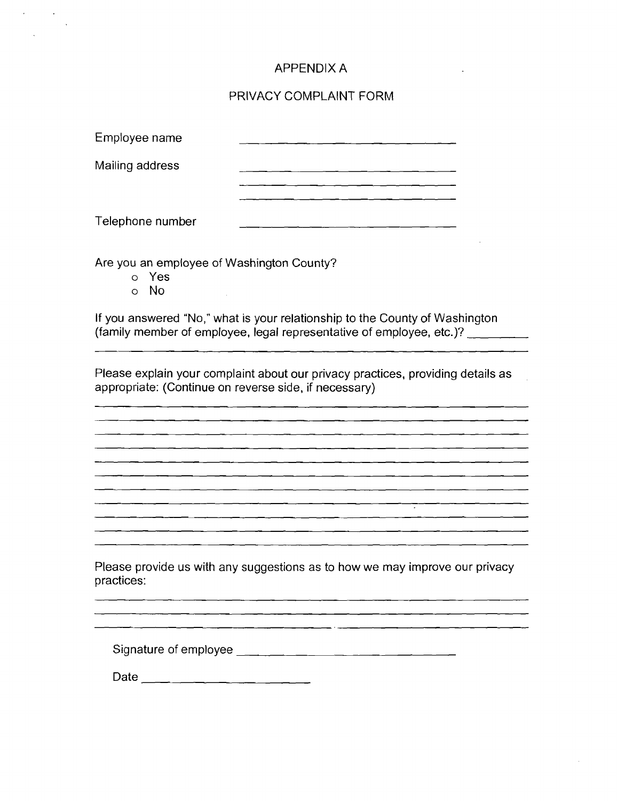## APPENDIX A

#### PRIVACY COMPLAINT FORM

| Employee name    |  |
|------------------|--|
| Mailing address  |  |
| Telephone number |  |

Are you an employee of Washington County?

- o Yes
- 0 No

If you answered "No," what is your relationship to the County of Washington (family member of employee, legal representative of employee, etc.)?

그는 아이의 아이의 그는 아이를 만들어 있었다. 이 사람들은 어디

Please explain your complaint about our privacy practices, providing details as appropriate: (Continue on reverse side, if necessary)

<u> Listo Listo de la contrada de la contrada de la con</u>

<u> 2001 - 2002 - 2003 - 2004 - 2005 - 200</u> 

Please provide us with any suggestions as to how we may improve our privacy practices:

Signature of err~ployee

Date  $\frac{1}{\sqrt{1-\frac{1}{2}}\cdot\frac{1}{\sqrt{1-\frac{1}{2}}\cdot\frac{1}{\sqrt{1-\frac{1}{2}}\cdot\frac{1}{\sqrt{1-\frac{1}{2}}\cdot\frac{1}{\sqrt{1-\frac{1}{2}}\cdot\frac{1}{\sqrt{1-\frac{1}{2}}\cdot\frac{1}{\sqrt{1-\frac{1}{2}}\cdot\frac{1}{\sqrt{1-\frac{1}{2}}\cdot\frac{1}{\sqrt{1-\frac{1}{2}}\cdot\frac{1}{\sqrt{1-\frac{1}{2}}\cdot\frac{1}{\sqrt{1-\frac{1}{2}}\cdot\frac{1}{\sqrt{1-\frac{1}{2}}\$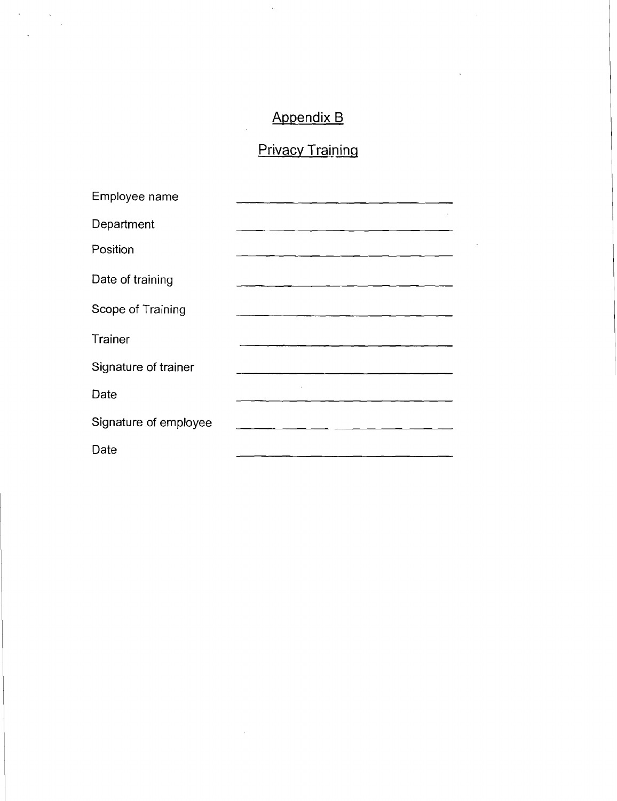# Appendix B

 $\bar{\zeta}$ 

 $\mathcal{L}_{\text{max}}$ 

 $\sim$  $\ddot{\phantom{a}}$ 

# Privacy Training

| Employee name         |                                                                                                                      |
|-----------------------|----------------------------------------------------------------------------------------------------------------------|
| Department            |                                                                                                                      |
| Position              |                                                                                                                      |
| Date of training      |                                                                                                                      |
| Scope of Training     | <u> 2000 - 2000 - 2000 - 2000 - 2000 - 2000 - 2000 - 2000 - 2000 - 2000 - 2000 - 2000 - 2000 - 2000 - 2000 - 200</u> |
| Trainer               |                                                                                                                      |
| Signature of trainer  |                                                                                                                      |
| Date                  |                                                                                                                      |
| Signature of employee |                                                                                                                      |
| Date                  |                                                                                                                      |

 $\bar{z}$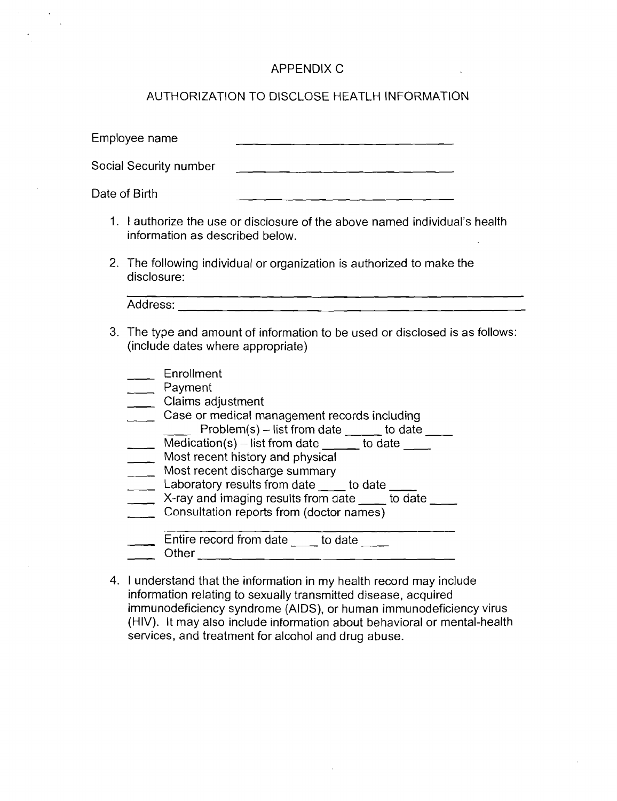# APPENDIX C

# AUTHORIZATION TO DISCLOSE HEATLH INFORMATION

| Employee name                                                                                                                                                                                                                                                                                                                                                                                                                                                                                |
|----------------------------------------------------------------------------------------------------------------------------------------------------------------------------------------------------------------------------------------------------------------------------------------------------------------------------------------------------------------------------------------------------------------------------------------------------------------------------------------------|
| Social Security number                                                                                                                                                                                                                                                                                                                                                                                                                                                                       |
| Date of Birth<br>그는 아이들은 그만 아니라 그만 그만 그만 있다.                                                                                                                                                                                                                                                                                                                                                                                                                                                 |
| 1. I authorize the use or disclosure of the above named individual's health<br>information as described below.                                                                                                                                                                                                                                                                                                                                                                               |
| 2. The following individual or organization is authorized to make the<br>disclosure:                                                                                                                                                                                                                                                                                                                                                                                                         |
|                                                                                                                                                                                                                                                                                                                                                                                                                                                                                              |
| 3. The type and amount of information to be used or disclosed is as follows:<br>(include dates where appropriate)                                                                                                                                                                                                                                                                                                                                                                            |
| Enrollment<br>Payment<br>Claims adjustment<br>Case or medical management records including<br>Problem(s) - list from date <u>equal</u> to date ____<br>Medication(s) – list from date $\_\_\_\_$ to date $\_\_\_\_$<br>Most recent history and physical<br>Most recent discharge summary<br>Laboratory results from date ____ to date ____<br>X-ray and imaging results from date ____ to date ____<br>Consultation reports from (doctor names)<br>Entire record from date ____ to date ____ |
|                                                                                                                                                                                                                                                                                                                                                                                                                                                                                              |

4. 1 understand that the information in my health record may include information relating to sexually transmitted disease, acquired immunodeficiency syndrome (AIDS), or human immunodeficiency virus (HIV). It may also include information about behavioral or mental-health services, and treatment for alcohol and drug abuse.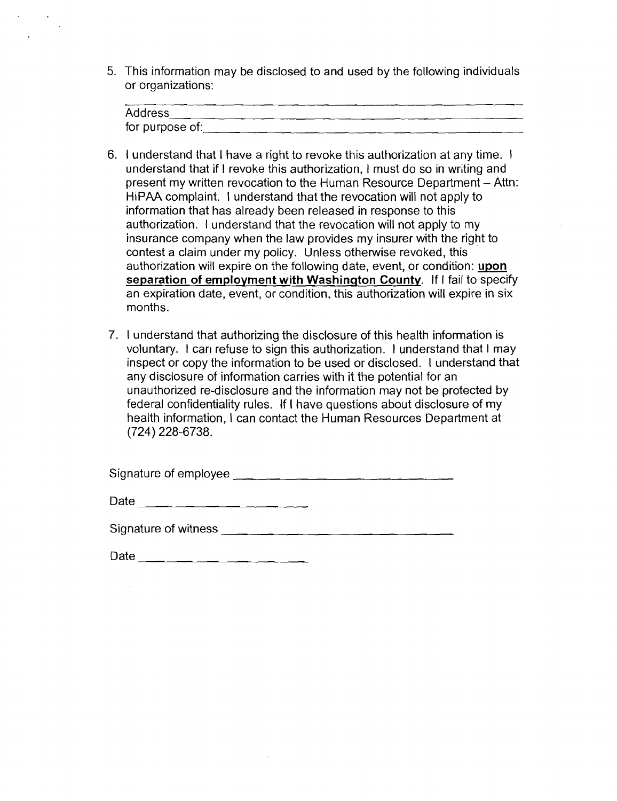5. This information may be disclosed to and used by the following individuals or organizations:

| Address         |
|-----------------|
| for purpose of: |

- 6. I understand that I have a right to revoke this authorization at any time. I understand that if I revoke this authorization, I must do so in writing and present my written revocation to the Human Resource Department - Attn: HiPAA complaint. I understand that the revocation will not apply to information that has already been released in response to this authorization. I understand that the revocation will not apply to my insurance company when the law provides my insurer with the right to contest a claim under my policy. Unless othewise revoked, this authorization will expire on the following date, event, or condition: **upon separation of employment with Washinqton County.** If I fail to specify an expiration date, event, or condition. this authorization will expire in six months.
- 7. I understand that authorizing the disclosure of this health information is voluntary. I can refuse to sign this authorization. I understand that I may inspect or copy the information to be used or disclosed. I understand that any disclosure of information carries with it the potential for an unauthorized re-disclosure and the information may not be protected by federal confidentiality rules. If I have questions about disclosure of my health information, I can contact the Human Resources Department at (724) 228-6738.

| Signature of employee |  |
|-----------------------|--|
|-----------------------|--|

| Date |  |
|------|--|
|      |  |

| Signature of witness |  |
|----------------------|--|
|                      |  |

| Date |  |
|------|--|
|      |  |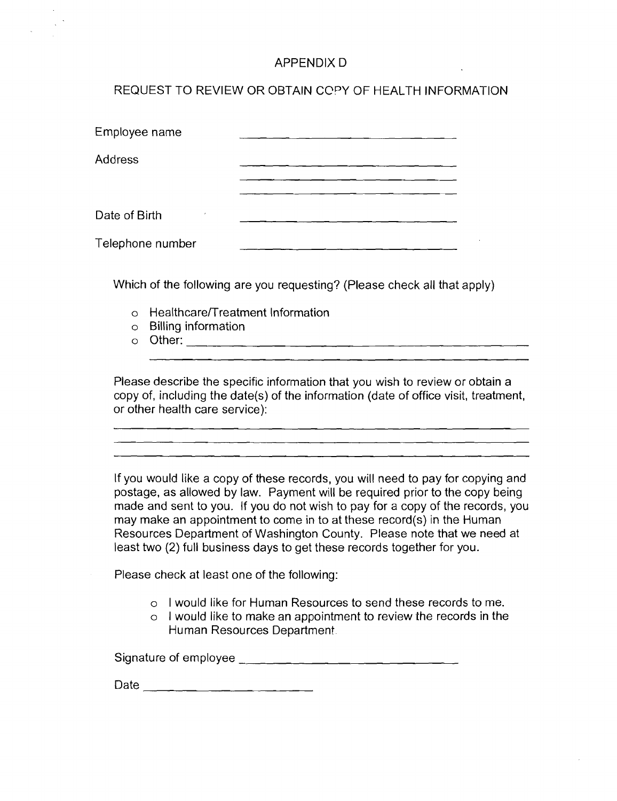# APPENDIX D

# REQUEST TO REVIEW OR OBTAIN COPY OF HEALTH INFORMATION

| Employee name    |                                                                     |
|------------------|---------------------------------------------------------------------|
| Address          |                                                                     |
|                  |                                                                     |
| Date of Birth    |                                                                     |
| Telephone number |                                                                     |
|                  | Which of the following are you requesting? (Please check all that a |

Which of the following are you requesting? (Please check all that apply)

- $\circ$  Healthcare/Treatment Information
- o Billing information
- o Other:

Please describe the specific information that you wish to review or obtain a copy of, including the date(s) of the information (date of office visit, treatment, or other health care service):

> <u> 2002 - John Stone, mendekan berlindar (h. 2002).</u> <u> 1981 - Johann John Stone, mars et al. (b. 1982)</u>

If you would like a copy of these records, you will need to pay for copying and postage, as allowed by law. Payment will be required prior to the copy being made and sent to you. If you do not wish to pay for a copy of the records, you may make an appointment to come in to at these record(s) in the Human Resources Department of Washington County. Please note that we need at least two (2) full business days to get these records together for you.

Please check at least one of the following:

- o I would like for Human Resources to send these records to me.
- $\circ$  I would like to make an appointment to review the records in the Human Resources Department.

Signature of employee and the state of employee of the state of the state of the state of the state of the state of the state of the state of the state of the state of the state of the state of the state of the state of th

Date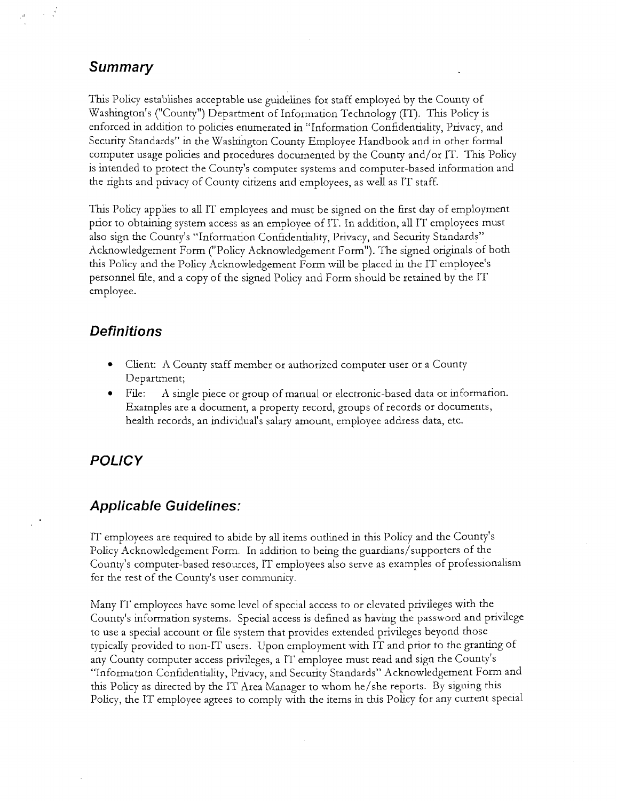# **Summary**

 $\sim 10^{-11}$ 

This Policy establishes acceptable use guidelines for staff employed by the County of Washington's ("County") Department of Information Technology (IT). This Policy is enforced in addition to policies enumerated in "Information Confidentiality, Privacy, and Security Standards" in the Washington County Employee Handbook and in other formal computer usage policies and procedures documented by the County and/or IT. This Policy is intended to protect the County's computer systems and computer-based information and the rights and privacy of County citizens and employees, as well as IT staff.

Ths Policy applies to all IT employees and must be signed on the first day of employment prior to obtaining system access as an employee of IT. In addtion, all IT employees must also sign the County's "Information Confidentiality, Privacy, and Security Standards" Acknowledgement Form ("Policy Acknowledgement Form"). The signed originals of both this Policy and the Policy Acknowledgement Form will be placed in the IT employee's personnel hle, and a copy of the signed Policy and Form should be retained by the IT employee.

# **Definitions**

- Client: A County staff member or authorized computer user or a County Department;
- File: A single piece or group of manual or electronic-based data or information. Examples are a document, a property record, groups of records or documents, health records, an indvidual's salary amount, employee address data, etc.

# **POLICY**

# **Applicable Guidelines:**

IT employees are required to abide by all items outlined in this Policy and the County's Policy Acknowledgement Form. In addition to being the guardians/supporters of the County's computer-based resources, IT employees also serve as examples of professionalism for the rest of the County's user community.

Many IT employees have some level of special access to or elevated privileges with the County's information systems. Special access is defined as having the password and privilege to use a special account or file system that provides extended privileges beyond those typically provided to non-IT users. Upon employment with IT and prior to the granting of any County computer access privlleges, a IT employee must read and sign the County's "Information Confidentiality, Privacy, and Security Standards" Acknowledgement Form and this Policy as directed by the IT Area Manager to whom he/she reports. By signing this Policy, the IT employee agrees to comply with the items in this Policy for any current special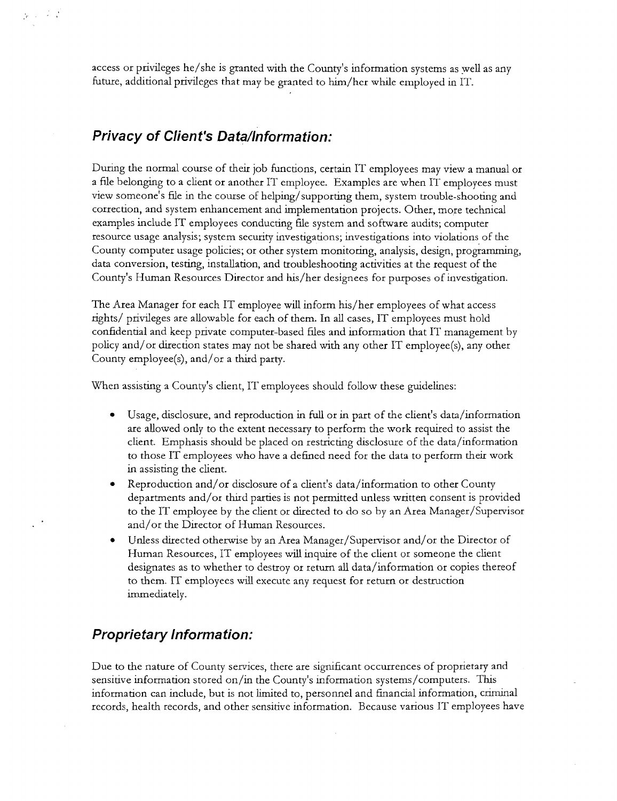access or privileges he/she is granted with the County's information systems as well as any future, additional privileges that may be granted to him/her while employed in IT.

# **Privacy of Client's Data/Information:**

 $\mathbf{p} = \mathbf{p} \times \mathbf{p}$ 

During the normal course of their job functions, certain IT employees may view a manual or a file belonging to a client or another IT employee. Examples are when IT employees must view someone's hle in the course of helping/supporting them, system trouble-shooting and correction, and system enhancement and implementation projects. Other, more technical examples include IT employees conducting file system and software audits; computer resource usage analysis; system security investigations; investigations into violations of the County computer usage policies; or other system monitoring, analysis, design, programming, data conversion, testing, installation, and troubleshooting activities at the request of the County's Human Resources Director and his/her designees for purposes of investigation.

The Area Manager for each IT employee will inform his/her employees of what access rights/ privileges are allowable for each of them. In all cases, IT employees must hold confidential and keep private computer-based hles and information that IT management by policy and/or dtrection states may not be shared with any other IT employee(s), any other County employee(s), and/or a third party.

When assisting a County's client, IT employees should follow these guidelines:

- Usage, disclosure, and reproduction in full or in part of the client's data/information  $\bullet$ are allowed only to the extent necessary to perform the work required to assist the client. Emphasis should be placed on restricting disclosure of the data/information to those IT employees who have a defined need for the data to perform their work in assisting the client.
- **e** Reproduction and/or dsclosure of a client's data/information to other County departments and/or third parties is not permitted unless written consent is provided to the IT employee by the client or directed to do so by an Area Manager/Supervisor and/or the Director of Human Resources.
- Unless directed otherwise by an Area Manager/Supervisor and/or the Director of Human Resources, IT employees will inquire of the client or someone the client designates as to whether to destroy or return all data/inforrnation or copies thereof to them. IT employees wdl execute any request for return or destruction immediately.

# **Proprietary Information:**

Due to the nature of County services, there are sigmficant occurrences of proprietary and sensitive information stored on/in the County's information systems/computers. This information can include, but is not limited to, personnel and financial information, criminal records, health records, and other sensitive information. Because various IT employees have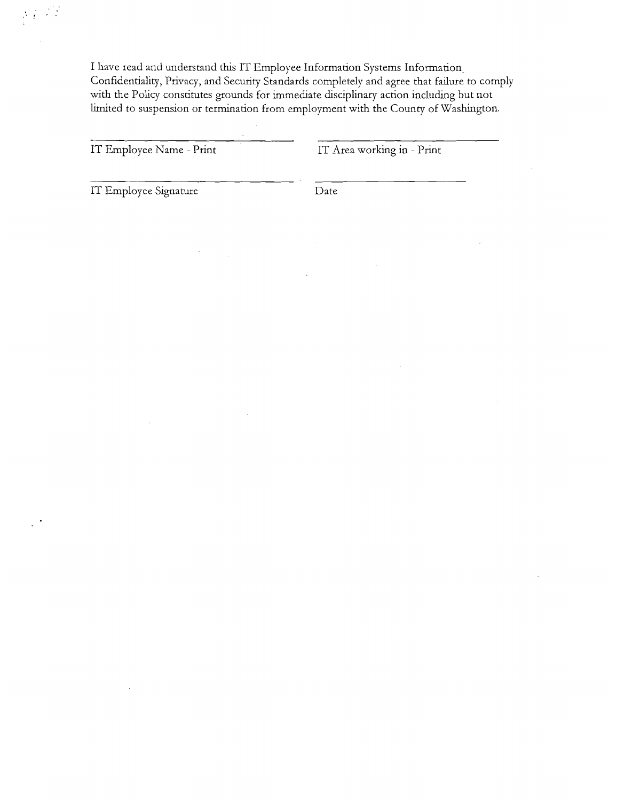I have read and understand this IT Employee Information Systems Information. Confidentiality, Privacy, and Security Standards completely and agree that failure to comply with the Policy constitutes grounds for immediate disciplinary action including but not limted to suspension or termination from employment with the County of Washmgton.

|  |  |  | IT Employee Name - Print |  |  |  |
|--|--|--|--------------------------|--|--|--|
|--|--|--|--------------------------|--|--|--|

IT Area working in - Print

IT Employee Signature Date

 $\sum_{\substack{1\leq i\leq n\\2\not\equiv 1}}\sum_{\substack{1\leq i\leq n\\i\neq j}}\sum_{\substack{1\leq i\leq n\\2\not\equiv 1}}\sum_{\substack{1\leq i\leq n\\2\not\equiv 1}}\sum_{\substack{1\leq i\leq n\\2\not\equiv 1}}\sum_{\substack{1\leq i\leq n\\2\not\equiv 1}}\sum_{\substack{1\leq i\leq n\\2\not\equiv 1}}\sum_{\substack{1\leq i\leq n\\2\not\equiv 1}}\sum_{\substack{1\leq i\leq n\\2\not\equiv$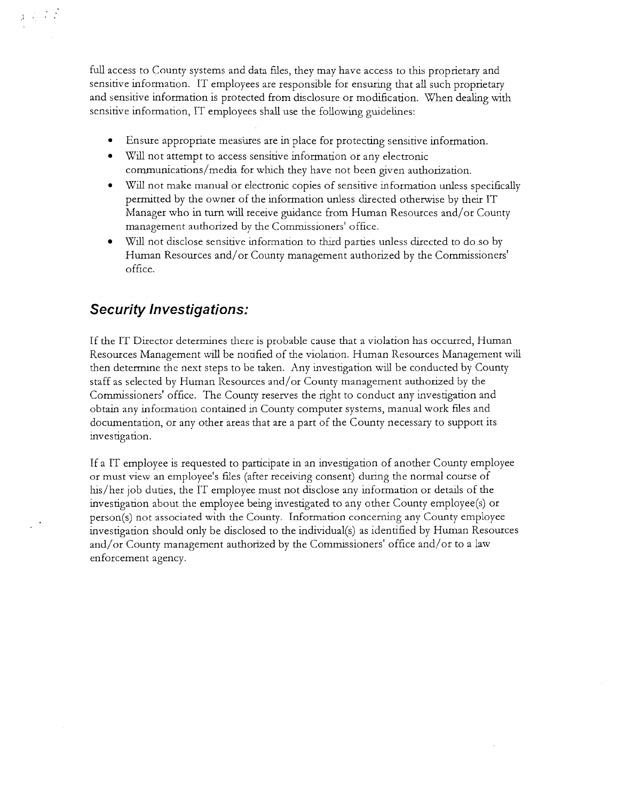full access to County systems and data files, they may have access to this proprietary and sensitive information. IT employees are responsible for ensuring that all such proprietary and sensitive information is protected from disclosure or modification. When dealing with sensitive information, IT employees shall use the following guidelines:

- Ensure appropriate measures are in place for protecting sensitive information.
- $\bullet$ Will not attempt to access sensitive information or any electronic communications/media for which they have not been given authorization.
- Will not make manual or electronic copies of sensitive information unless specifically permitted by the owner of the information unless directed otherwise by their IT Manager who in turn wdl receive guidance from Human Resources and/or County management authorized by the Commissioners' office.
- Will not disclose sensitive information to third parties unless directed to do so by Human Resources and/or County management authorized by the Commissioners' office.

# *Security lnvestiga tions:*

 $\label{eq:3.1} \begin{array}{c} \chi_{\rm{eff}}=\frac{1}{2} \left( \frac{1}{2} \right)^{\frac{1}{2}} \end{array}$ 

If the IT Director determines there is probable cause that a violation has occurred, Human Resources Management will be notified of the violation. Human Resources Management will then determine the next steps to be taken. Any investigation will be conducted by County staff as selected by Human Resources and/or County management authorized by the Commissioners' office. The County reserves the right to conduct any investigation and obtain any information contained in County computer systems, manual work hles and documentation, or any other areas that are a part of the County necessary to support its investigation.

If a IT employee is requested to participate in an investigation of another County employee or must view an employee's files (after receiving consent) during the normal course of his/her job duties, the IT employee must not disclose any information or details of the investiganon about the employee being investigated to any other County ernployee(s) or person(s) not associated with the County. Information concerning any County employee investigation should only be disclosed to the individual(s) as identified by Human Resources and/or County management authorized by the Commissioners' office and/or to a law enforcement agency.